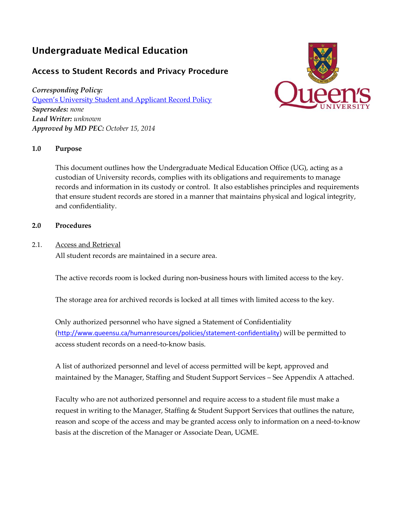# Undergraduate Medical Education

## Access to Student Records and Privacy Procedure

*Corresponding Policy: Q*[ueen's University Student and](http://www.queensu.ca/registrar/sites/webpublish.queensu.ca.uregwww/files/files/sturecordpolicy.pdf) Applicant Record Policy *Supersedes: none Lead Writer: unknown Approved by MD PEC: October 15, 2014*



### **1.0 Purpose**

This document outlines how the Undergraduate Medical Education Office (UG), acting as a custodian of University records, complies with its obligations and requirements to manage records and information in its custody or control. It also establishes principles and requirements that ensure student records are stored in a manner that maintains physical and logical integrity, and confidentiality.

#### **2.0 Procedures**

2.1. Access and Retrieval

All student records are maintained in a secure area.

The active records room is locked during non-business hours with limited access to the key.

The storage area for archived records is locked at all times with limited access to the key.

Only authorized personnel who have signed a Statement of Confidentiality (<http://www.queensu.ca/humanresources/policies/statement-confidentiality>) will be permitted to access student records on a need-to-know basis.

A list of authorized personnel and level of access permitted will be kept, approved and maintained by the Manager, Staffing and Student Support Services – See Appendix A attached.

Faculty who are not authorized personnel and require access to a student file must make a request in writing to the Manager, Staffing & Student Support Services that outlines the nature, reason and scope of the access and may be granted access only to information on a need-to-know basis at the discretion of the Manager or Associate Dean, UGME.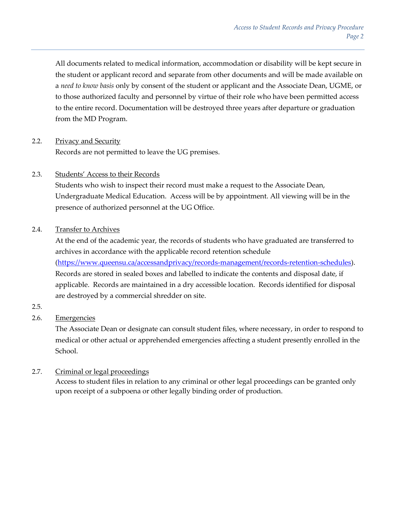All documents related to medical information, accommodation or disability will be kept secure in the student or applicant record and separate from other documents and will be made available on a *need to know basis* only by consent of the student or applicant and the Associate Dean, UGME, or to those authorized faculty and personnel by virtue of their role who have been permitted access to the entire record. Documentation will be destroyed three years after departure or graduation from the MD Program.

2.2. Privacy and Security Records are not permitted to leave the UG premises.

### 2.3. Students' Access to their Records

Students who wish to inspect their record must make a request to the Associate Dean, Undergraduate Medical Education. Access will be by appointment. All viewing will be in the presence of authorized personnel at the UG Office.

### 2.4. Transfer to Archives

At the end of the academic year, the records of students who have graduated are transferred to archives in accordance with the applicable record retention schedule [\(https://www.queensu.ca/accessandprivacy/records-management/records-retention-schedules\)](https://www.queensu.ca/accessandprivacy/records-management/records-retention-schedules). Records are stored in sealed boxes and labelled to indicate the contents and disposal date, if applicable. Records are maintained in a dry accessible location. Records identified for disposal are destroyed by a commercial shredder on site.

2.5.

## 2.6. Emergencies

The Associate Dean or designate can consult student files, where necessary, in order to respond to medical or other actual or apprehended emergencies affecting a student presently enrolled in the School.

## 2.7. Criminal or legal proceedings

Access to student files in relation to any criminal or other legal proceedings can be granted only upon receipt of a subpoena or other legally binding order of production.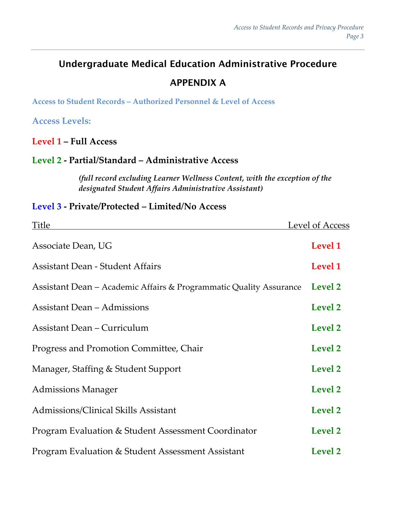# Undergraduate Medical Education Administrative Procedure

# APPENDIX A

**Access to Student Records – Authorized Personnel & Level of Access**

**Access Levels:**

**Level 1 – Full Access**

# **Level 2 - Partial/Standard – Administrative Access**

*(full record excluding Learner Wellness Content, with the exception of the designated Student Affairs Administrative Assistant)*

# **Level 3 - Private/Protected – Limited/No Access**

| Title                                                              | Level of Access |
|--------------------------------------------------------------------|-----------------|
| Associate Dean, UG                                                 | Level 1         |
| <b>Assistant Dean - Student Affairs</b>                            | Level 1         |
| Assistant Dean – Academic Affairs & Programmatic Quality Assurance | Level 2         |
| <b>Assistant Dean - Admissions</b>                                 | Level 2         |
| <b>Assistant Dean – Curriculum</b>                                 | <b>Level 2</b>  |
| Progress and Promotion Committee, Chair                            | Level 2         |
| Manager, Staffing & Student Support                                | <b>Level 2</b>  |
| <b>Admissions Manager</b>                                          | <b>Level 2</b>  |
| Admissions/Clinical Skills Assistant                               | Level 2         |
| Program Evaluation & Student Assessment Coordinator                | Level 2         |
| Program Evaluation & Student Assessment Assistant                  | Level 2         |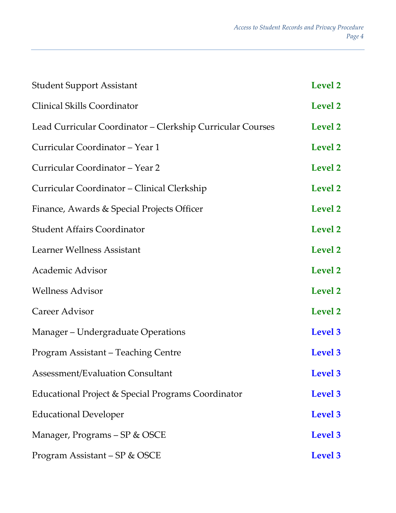| <b>Student Support Assistant</b>                           | Level 2 |
|------------------------------------------------------------|---------|
| Clinical Skills Coordinator                                | Level 2 |
| Lead Curricular Coordinator – Clerkship Curricular Courses | Level 2 |
| Curricular Coordinator - Year 1                            | Level 2 |
| Curricular Coordinator - Year 2                            | Level 2 |
| Curricular Coordinator - Clinical Clerkship                | Level 2 |
| Finance, Awards & Special Projects Officer                 | Level 2 |
| <b>Student Affairs Coordinator</b>                         | Level 2 |
| Learner Wellness Assistant                                 | Level 2 |
| Academic Advisor                                           | Level 2 |
| <b>Wellness Advisor</b>                                    | Level 2 |
| Career Advisor                                             | Level 2 |
| Manager – Undergraduate Operations                         | Level 3 |
| Program Assistant – Teaching Centre                        | Level 3 |
| Assessment/Evaluation Consultant                           | Level 3 |
| Educational Project & Special Programs Coordinator         | Level 3 |
| <b>Educational Developer</b>                               | Level 3 |
| Manager, Programs - SP & OSCE                              | Level 3 |
| Program Assistant – SP & OSCE                              | Level 3 |